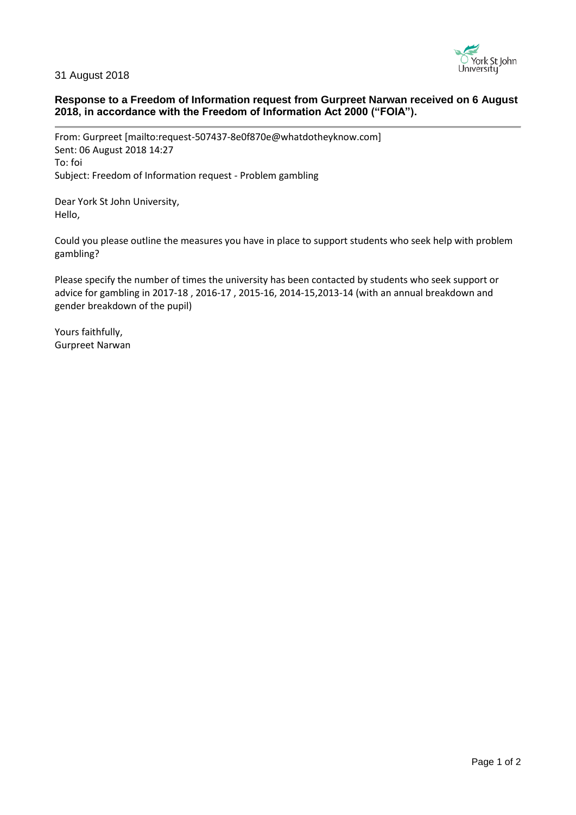

## 31 August 2018

# **Response to a Freedom of Information request from Gurpreet Narwan received on 6 August 2018, in accordance with the Freedom of Information Act 2000 ("FOIA").**

From: Gurpreet [mailto:request-507437-8e0f870e@whatdotheyknow.com] Sent: 06 August 2018 14:27 To: foi Subject: Freedom of Information request - Problem gambling

Dear York St John University, Hello,

Could you please outline the measures you have in place to support students who seek help with problem gambling?

Please specify the number of times the university has been contacted by students who seek support or advice for gambling in 2017-18 , 2016-17 , 2015-16, 2014-15,2013-14 (with an annual breakdown and gender breakdown of the pupil)

Yours faithfully, Gurpreet Narwan